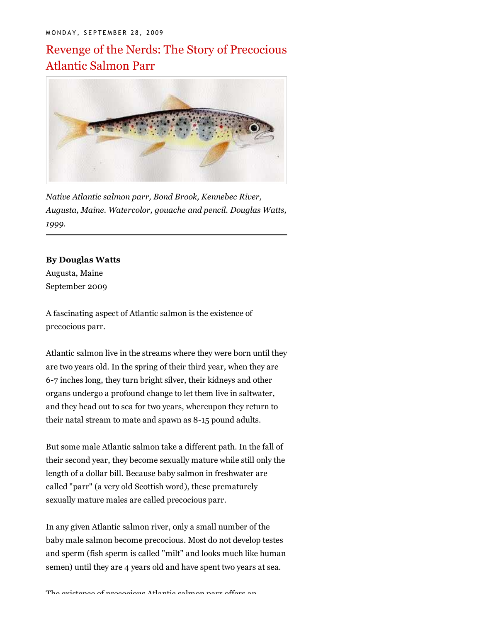# Revenge of the Nerds: The Story of Precocious Atlantic Salmon Parr



*Native Atlantic salmon parr, Bond Brook, Kennebec River, Augusta, Maine. Watercolor, gouache and pencil. Douglas Watts, 1999.*

#### **By Douglas Watts**

Augusta, Maine September 2009

A fascinating aspect of Atlantic salmon is the existence of precocious parr.

Atlantic salmon live in the streams where they were born until they are two years old. In the spring of their third year, when they are 6-7 inches long, they turn bright silver, their kidneys and other organs undergo a profound change to let them live in saltwater, and they head out to sea for two years, whereupon they return to their natal stream to mate and spawn as 8-15 pound adults.

But some male Atlantic salmon take a different path. In the fall of their second year, they become sexually mature while still only the length of a dollar bill. Because baby salmon in freshwater are called "parr" (a very old Scottish word), these prematurely sexually mature males are called precocious parr.

In any given Atlantic salmon river, only a small number of the baby male salmon become precocious. Most do not develop testes and sperm (fish sperm is called "milt" and looks much like human semen) until they are 4 years old and have spent two years at sea.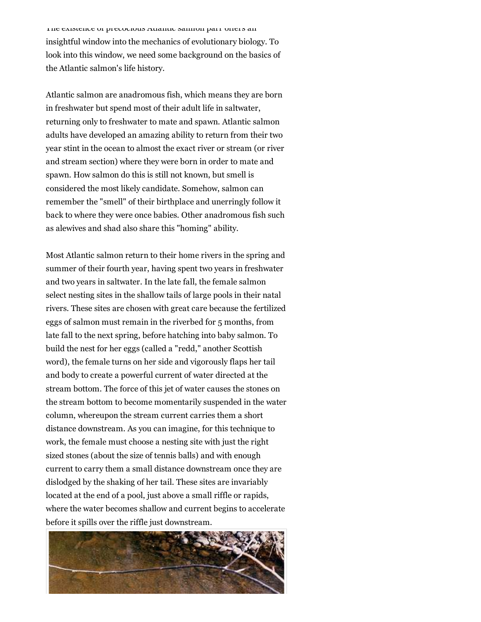The existence of precocious Atlantic salmon parr offers an insightful window into the mechanics of evolutionary biology. To look into this window, we need some background on the basics of the Atlantic salmon's life history.

Atlantic salmon are anadromous fish, which means they are born in freshwater but spend most of their adult life in saltwater, returning only to freshwater to mate and spawn. Atlantic salmon adults have developed an amazing ability to return from their two year stint in the ocean to almost the exact river or stream (or river and stream section) where they were born in order to mate and spawn. How salmon do this is still not known, but smell is considered the most likely candidate. Somehow, salmon can remember the "smell" of their birthplace and unerringly follow it back to where they were once babies. Other anadromous fish such as alewives and shad also share this "homing" ability.

Most Atlantic salmon return to their home rivers in the spring and summer of their fourth year, having spent two years in freshwater and two years in saltwater. In the late fall, the female salmon select nesting sites in the shallow tails of large pools in their natal rivers. These sites are chosen with great care because the fertilized eggs of salmon must remain in the riverbed for 5 months, from late fall to the next spring, before hatching into baby salmon. To build the nest for her eggs (called a "redd," another Scottish word), the female turns on her side and vigorously flaps her tail and body to create a powerful current of water directed at the stream bottom. The force of this jet of water causes the stones on the stream bottom to become momentarily suspended in the water column, whereupon the stream current carries them a short distance downstream. As you can imagine, for this technique to work, the female must choose a nesting site with just the right sized stones (about the size of tennis balls) and with enough current to carry them a small distance downstream once they are dislodged by the shaking of her tail. These sites are invariably located at the end of a pool, just above a small riffle or rapids, where the water becomes shallow and current begins to accelerate before it spills over the riffle just downstream.

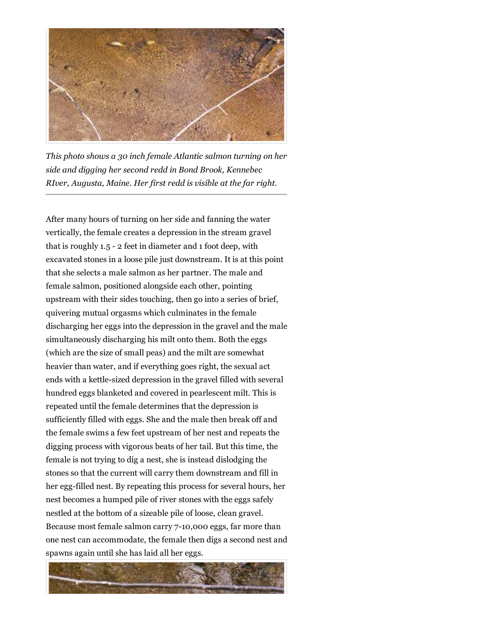

*This photo shows a 30 inch female Atlantic salmon turning on her side and digging her second redd in Bond Brook, Kennebec RIver, Augusta, Maine. Her first redd is visible at the far right.*

After many hours of turning on her side and fanning the water vertically, the female creates a depression in the stream gravel that is roughly 1.5 - 2 feet in diameter and 1 foot deep, with excavated stones in a loose pile just downstream. It is at this point that she selects a male salmon as her partner. The male and female salmon, positioned alongside each other, pointing upstream with their sides touching, then go into a series of brief, quivering mutual orgasms which culminates in the female discharging her eggs into the depression in the gravel and the male simultaneously discharging his milt onto them. Both the eggs (which are the size of small peas) and the milt are somewhat heavier than water, and if everything goes right, the sexual act ends with a kettle-sized depression in the gravel filled with several hundred eggs blanketed and covered in pearlescent milt. This is repeated until the female determines that the depression is sufficiently filled with eggs. She and the male then break off and the female swims a few feet upstream of her nest and repeats the digging process with vigorous beats of her tail. But this time, the female is not trying to dig a nest, she is instead dislodging the stones so that the current will carry them downstream and fill in her egg-filled nest. By repeating this process for several hours, her nest becomes a humped pile of river stones with the eggs safely nestled at the bottom of a sizeable pile of loose, clean gravel. Because most female salmon carry 7-10,000 eggs, far more than one nest can accommodate, the female then digs a second nest and spawns again until she has laid all her eggs.

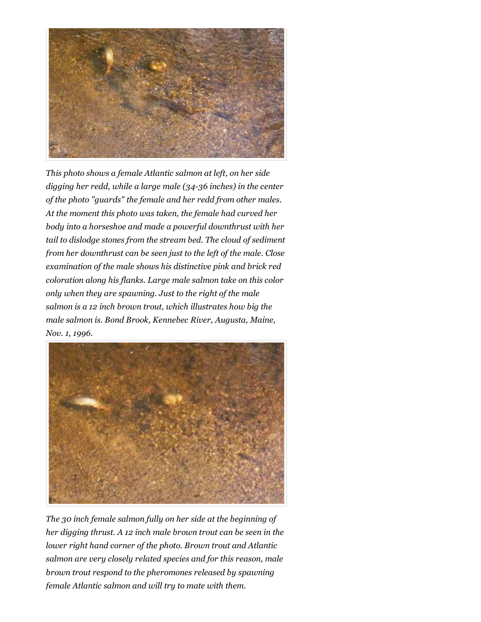

*This photo shows a female Atlantic salmon at left, on her side digging her redd, while a large male (34-36 inches) in the center of the photo "guards" the female and her redd from other males. At the moment this photo was taken, the female had curved her body into a horseshoe and made a powerful downthrust with her tail to dislodge stones from the stream bed. The cloud of sediment from her downthrust can be seen just to the left of the male. Close examination of the male shows his distinctive pink and brick red coloration along his flanks. Large male salmon take on this color only when they are spawning. Just to the right of the male salmon is a 12 inch brown trout, which illustrates how big the male salmon is. Bond Brook, Kennebec River, Augusta, Maine, Nov. 1, 1996.*



*The 30 inch female salmon fully on her side at the beginning of her digging thrust. A 12 inch male brown trout can be seen in the lower right hand corner of the photo. Brown trout and Atlantic salmon are very closely related species and for this reason, male brown trout respond to the pheromones released by spawning female Atlantic salmon and will try to mate with them.*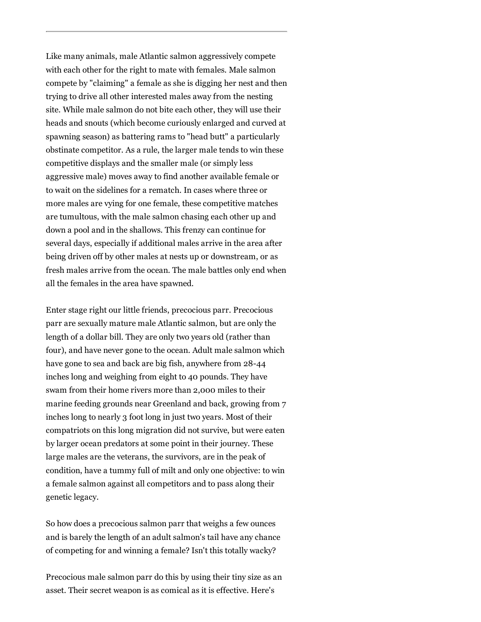Like many animals, male Atlantic salmon aggressively compete with each other for the right to mate with females. Male salmon compete by "claiming" a female as she is digging her nest and then trying to drive all other interested males away from the nesting site. While male salmon do not bite each other, they will use their heads and snouts (which become curiously enlarged and curved at spawning season) as battering rams to "head butt" a particularly obstinate competitor. As a rule, the larger male tends to win these competitive displays and the smaller male (or simply less aggressive male) moves away to find another available female or to wait on the sidelines for a rematch. In cases where three or more males are vying for one female, these competitive matches are tumultous, with the male salmon chasing each other up and down a pool and in the shallows. This frenzy can continue for several days, especially if additional males arrive in the area after being driven off by other males at nests up or downstream, or as fresh males arrive from the ocean. The male battles only end when all the females in the area have spawned.

Enter stage right our little friends, precocious parr. Precocious parr are sexually mature male Atlantic salmon, but are only the length of a dollar bill. They are only two years old (rather than four), and have never gone to the ocean. Adult male salmon which have gone to sea and back are big fish, anywhere from 28-44 inches long and weighing from eight to 40 pounds. They have swam from their home rivers more than 2,000 miles to their marine feeding grounds near Greenland and back, growing from 7 inches long to nearly 3 foot long in just two years. Most of their compatriots on this long migration did not survive, but were eaten by larger ocean predators at some point in their journey. These large males are the veterans, the survivors, are in the peak of condition, have a tummy full of milt and only one objective: to win a female salmon against all competitors and to pass along their genetic legacy.

So how does a precocious salmon parr that weighs a few ounces and is barely the length of an adult salmon's tail have any chance of competing for and winning a female? Isn't this totally wacky?

Precocious male salmon parr do this by using their tiny size as an asset. Their secret weapon is as comical as it is effective. Here's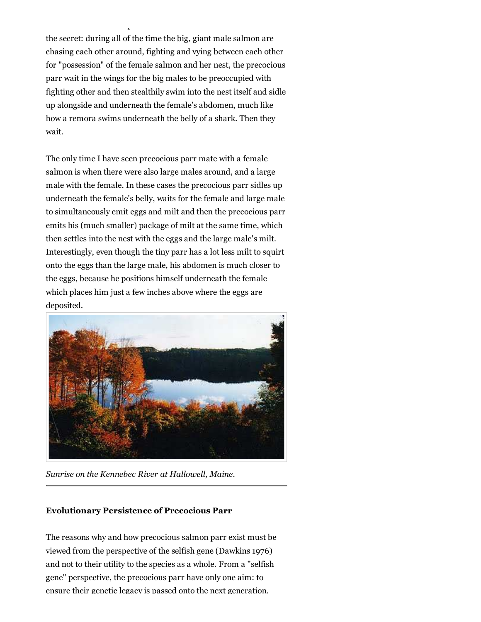the secret: during all of the time the big, giant male salmon are chasing each other around, fighting and vying between each other for "possession" of the female salmon and her nest, the precocious parr wait in the wings for the big males to be preoccupied with fighting other and then stealthily swim into the nest itself and sidle up alongside and underneath the female's abdomen, much like how a remora swims underneath the belly of a shark. Then they wait.

asset. Their secret weapon is as comical as it is effective. Here it is effective. Here  $\mathcal{L}_\text{max}$ 

The only time I have seen precocious parr mate with a female salmon is when there were also large males around, and a large male with the female. In these cases the precocious parr sidles up underneath the female's belly, waits for the female and large male to simultaneously emit eggs and milt and then the precocious parr emits his (much smaller) package of milt at the same time, which then settles into the nest with the eggs and the large male's milt. Interestingly, even though the tiny parr has a lot less milt to squirt onto the eggs than the large male, his abdomen is much closer to the eggs, because he positions himself underneath the female which places him just a few inches above where the eggs are deposited.



*Sunrise on the Kennebec River at Hallowell, Maine.*

#### **Evolutionary Persistence of Precocious Parr**

The reasons why and how precocious salmon parr exist must be viewed from the perspective of the selfish gene (Dawkins 1976) and not to their utility to the species as a whole. From a "selfish gene" perspective, the precocious parr have only one aim: to ensure their genetic legacy is passed onto the next generation.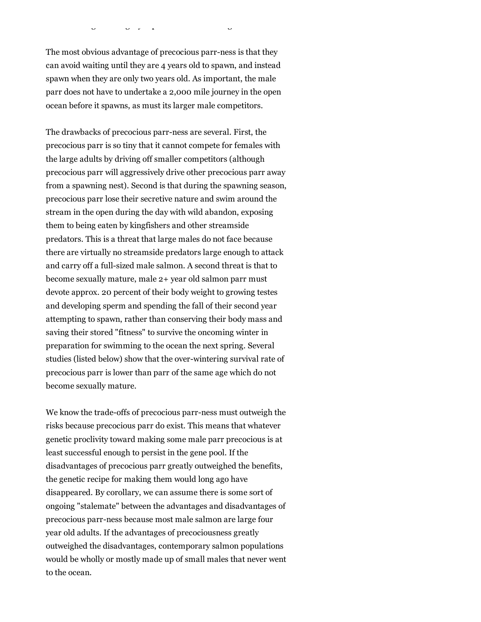The most obvious advantage of precocious parr-ness is that they can avoid waiting until they are 4 years old to spawn, and instead spawn when they are only two years old. As important, the male parr does not have to undertake a 2,000 mile journey in the open ocean before it spawns, as must its larger male competitors.

ensure their genetic legacy is passed onto the next generation.

The drawbacks of precocious parr-ness are several. First, the precocious parr is so tiny that it cannot compete for females with the large adults by driving off smaller competitors (although precocious parr will aggressively drive other precocious parr away from a spawning nest). Second is that during the spawning season, precocious parr lose their secretive nature and swim around the stream in the open during the day with wild abandon, exposing them to being eaten by kingfishers and other streamside predators. This is a threat that large males do not face because there are virtually no streamside predators large enough to attack and carry off a full-sized male salmon. A second threat is that to become sexually mature, male 2+ year old salmon parr must devote approx. 20 percent of their body weight to growing testes and developing sperm and spending the fall of their second year attempting to spawn, rather than conserving their body mass and saving their stored "fitness" to survive the oncoming winter in preparation for swimming to the ocean the next spring. Several studies (listed below) show that the over-wintering survival rate of precocious parr is lower than parr of the same age which do not become sexually mature.

We know the trade-offs of precocious parr-ness must outweigh the risks because precocious parr do exist. This means that whatever genetic proclivity toward making some male parr precocious is at least successful enough to persist in the gene pool. If the disadvantages of precocious parr greatly outweighed the benefits, the genetic recipe for making them would long ago have disappeared. By corollary, we can assume there is some sort of ongoing "stalemate" between the advantages and disadvantages of precocious parr-ness because most male salmon are large four year old adults. If the advantages of precociousness greatly outweighed the disadvantages, contemporary salmon populations would be wholly or mostly made up of small males that never went to the ocean.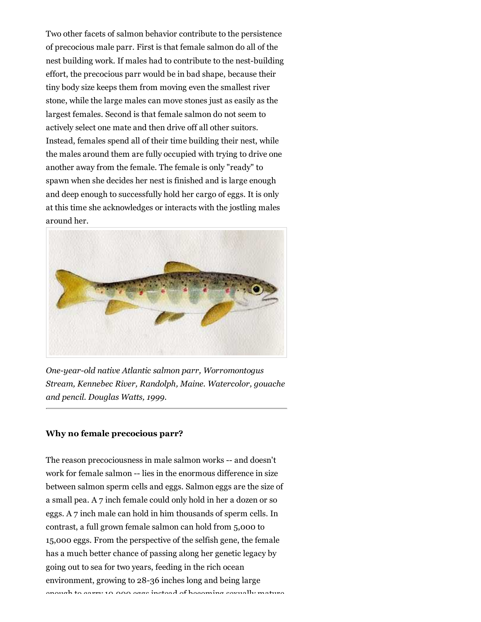Two other facets of salmon behavior contribute to the persistence of precocious male parr. First is that female salmon do all of the nest building work. If males had to contribute to the nest-building effort, the precocious parr would be in bad shape, because their tiny body size keeps them from moving even the smallest river stone, while the large males can move stones just as easily as the largest females. Second is that female salmon do not seem to actively select one mate and then drive off all other suitors. Instead, females spend all of their time building their nest, while the males around them are fully occupied with trying to drive one another away from the female. The female is only "ready" to spawn when she decides her nest is finished and is large enough and deep enough to successfully hold her cargo of eggs. It is only at this time she acknowledges or interacts with the jostling males around her.



*One-year-old native Atlantic salmon parr, Worromontogus Stream, Kennebec River, Randolph, Maine. Watercolor, gouache and pencil. Douglas Watts, 1999.*

#### **Why no female precocious parr?**

The reason precociousness in male salmon works -- and doesn't work for female salmon -- lies in the enormous difference in size between salmon sperm cells and eggs. Salmon eggs are the size of a small pea. A 7 inch female could only hold in her a dozen or so eggs. A 7 inch male can hold in him thousands of sperm cells. In contrast, a full grown female salmon can hold from 5,000 to 15,000 eggs. From the perspective of the selfish gene, the female has a much better chance of passing along her genetic legacy by going out to sea for two years, feeding in the rich ocean environment, growing to 28-36 inches long and being large enough to carry 10,000 eggs instead of becoming sexually mature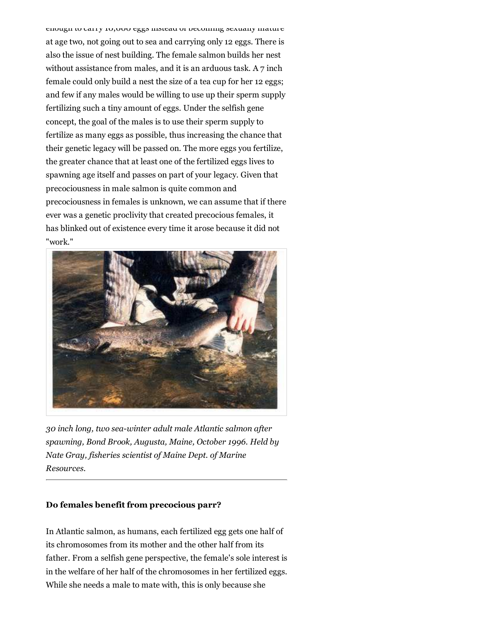enough to carry 10,000 eggs instead of becoming sexually mature at age two, not going out to sea and carrying only 12 eggs. There is also the issue of nest building. The female salmon builds her nest without assistance from males, and it is an arduous task. A 7 inch female could only build a nest the size of a tea cup for her 12 eggs; and few if any males would be willing to use up their sperm supply fertilizing such a tiny amount of eggs. Under the selfish gene concept, the goal of the males is to use their sperm supply to fertilize as many eggs as possible, thus increasing the chance that their genetic legacy will be passed on. The more eggs you fertilize, the greater chance that at least one of the fertilized eggs lives to spawning age itself and passes on part of your legacy. Given that precociousness in male salmon is quite common and precociousness in females is unknown, we can assume that if there ever was a genetic proclivity that created precocious females, it has blinked out of existence every time it arose because it did not "work."



*30 inch long, two sea-winter adult male Atlantic salmon after spawning, Bond Brook, Augusta, Maine, October 1996. Held by Nate Gray, fisheries scientist of Maine Dept. of Marine Resources.*

## **Do females benefit from precocious parr?**

In Atlantic salmon, as humans, each fertilized egg gets one half of its chromosomes from its mother and the other half from its father. From a selfish gene perspective, the female's sole interest is in the welfare of her half of the chromosomes in her fertilized eggs. While she needs a male to mate with, this is only because she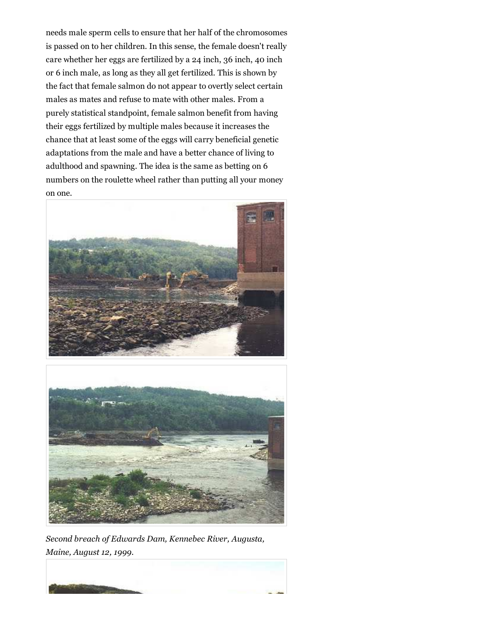needs male sperm cells to ensure that her half of the chromosomes is passed on to her children. In this sense, the female doesn't really care whether her eggs are fertilized by a 24 inch, 36 inch, 40 inch or 6 inch male, as long as they all get fertilized. This is shown by the fact that female salmon do not appear to overtly select certain males as mates and refuse to mate with other males. From a purely statistical standpoint, female salmon benefit from having their eggs fertilized by multiple males because it increases the chance that at least some of the eggs will carry beneficial genetic adaptations from the male and have a better chance of living to adulthood and spawning. The idea is the same as betting on 6 numbers on the roulette wheel rather than putting all your money on one.





*Second breach of Edwards Dam, Kennebec River, Augusta, Maine, August 12, 1999.*

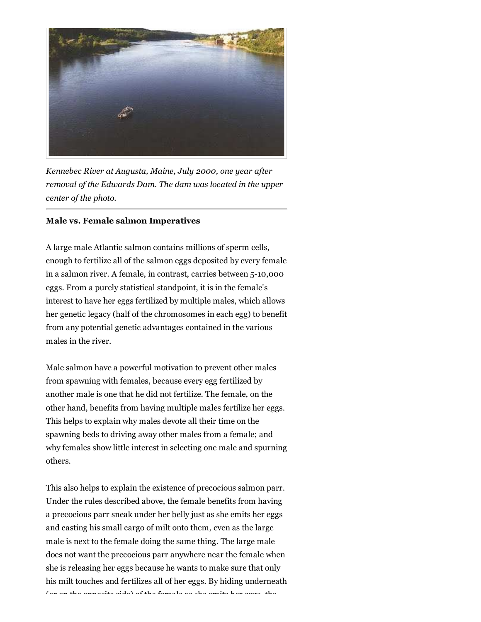

*Kennebec River at Augusta, Maine, July 2000, one year after removal of the Edwards Dam. The dam was located in the upper center of the photo.*

#### **Male vs. Female salmon Imperatives**

A large male Atlantic salmon contains millions of sperm cells, enough to fertilize all of the salmon eggs deposited by every female in a salmon river. A female, in contrast, carries between 5-10,000 eggs. From a purely statistical standpoint, it is in the female's interest to have her eggs fertilized by multiple males, which allows her genetic legacy (half of the chromosomes in each egg) to benefit from any potential genetic advantages contained in the various males in the river.

Male salmon have a powerful motivation to prevent other males from spawning with females, because every egg fertilized by another male is one that he did not fertilize. The female, on the other hand, benefits from having multiple males fertilize her eggs. This helps to explain why males devote all their time on the spawning beds to driving away other males from a female; and why females show little interest in selecting one male and spurning others.

This also helps to explain the existence of precocious salmon parr. Under the rules described above, the female benefits from having a precocious parr sneak under her belly just as she emits her eggs and casting his small cargo of milt onto them, even as the large male is next to the female doing the same thing. The large male does not want the precocious parr anywhere near the female when she is releasing her eggs because he wants to make sure that only his milt touches and fertilizes all of her eggs. By hiding underneath (or on the opposite side) of the female as she emits her eggs, the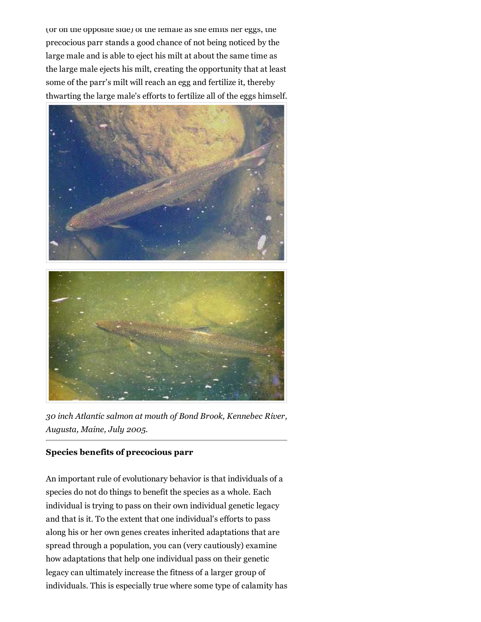(or on the opposite side) of the female as she emits her eggs, the precocious parr stands a good chance of not being noticed by the large male and is able to eject his milt at about the same time as the large male ejects his milt, creating the opportunity that at least some of the parr's milt will reach an egg and fertilize it, thereby thwarting the large male's efforts to fertilize all of the eggs himself.



*30 inch Atlantic salmon at mouth of Bond Brook, Kennebec River, Augusta, Maine, July 2005.*

## **Species benefits of precocious parr**

An important rule of evolutionary behavior is that individuals of a species do not do things to benefit the species as a whole. Each individual is trying to pass on their own individual genetic legacy and that is it. To the extent that one individual's efforts to pass along his or her own genes creates inherited adaptations that are spread through a population, you can (very cautiously) examine how adaptations that help one individual pass on their genetic legacy can ultimately increase the fitness of a larger group of individuals. This is especially true where some type of calamity has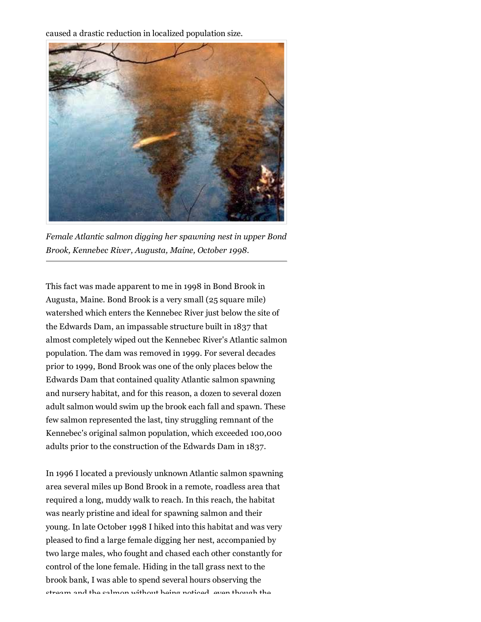caused a drastic reduction in localized population size.



*Female Atlantic salmon digging her spawning nest in upper Bond Brook, Kennebec River, Augusta, Maine, October 1998.*

This fact was made apparent to me in 1998 in Bond Brook in Augusta, Maine. Bond Brook is a very small (25 square mile) watershed which enters the Kennebec River just below the site of the Edwards Dam, an impassable structure built in 1837 that almost completely wiped out the Kennebec River's Atlantic salmon population. The dam was removed in 1999. For several decades prior to 1999, Bond Brook was one of the only places below the Edwards Dam that contained quality Atlantic salmon spawning and nursery habitat, and for this reason, a dozen to several dozen adult salmon would swim up the brook each fall and spawn. These few salmon represented the last, tiny struggling remnant of the Kennebec's original salmon population, which exceeded 100,000 adults prior to the construction of the Edwards Dam in 1837.

In 1996 I located a previously unknown Atlantic salmon spawning area several miles up Bond Brook in a remote, roadless area that required a long, muddy walk to reach. In this reach, the habitat was nearly pristine and ideal for spawning salmon and their young. In late October 1998 I hiked into this habitat and was very pleased to find a large female digging her nest, accompanied by two large males, who fought and chased each other constantly for control of the lone female. Hiding in the tall grass next to the brook bank, I was able to spend several hours observing the stream and the salmon without being noticed, even though the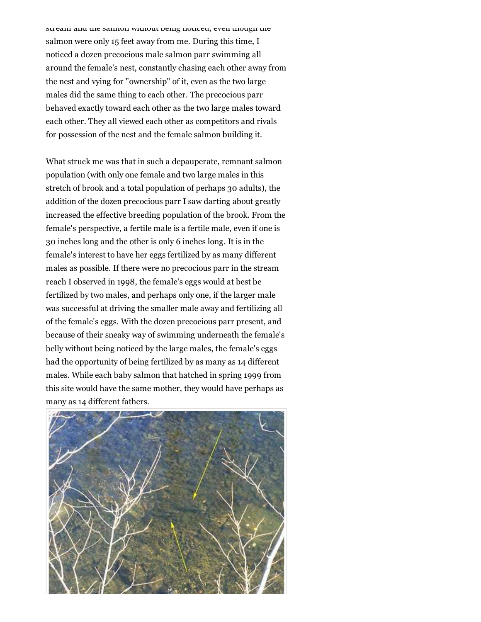stream and the salmon without being noticed, even though the salmon were only 15 feet away from me. During this time, I noticed a dozen precocious male salmon parr swimming all around the female's nest, constantly chasing each other away from the nest and vying for "ownership" of it, even as the two large males did the same thing to each other. The precocious parr behaved exactly toward each other as the two large males toward each other. They all viewed each other as competitors and rivals for possession of the nest and the female salmon building it.

What struck me was that in such a depauperate, remnant salmon population (with only one female and two large males in this stretch of brook and a total population of perhaps 30 adults), the addition of the dozen precocious parr I saw darting about greatly increased the effective breeding population of the brook. From the female's perspective, a fertile male is a fertile male, even if one is 30 inches long and the other is only 6 inches long. It is in the female's interest to have her eggs fertilized by as many different males as possible. If there were no precocious parr in the stream reach I observed in 1998, the female's eggs would at best be fertilized by two males, and perhaps only one, if the larger male was successful at driving the smaller male away and fertilizing all of the female's eggs. With the dozen precocious parr present, and because of their sneaky way of swimming underneath the female's belly without being noticed by the large males, the female's eggs had the opportunity of being fertilized by as many as 14 different males. While each baby salmon that hatched in spring 1999 from this site would have the same mother, they would have perhaps as many as 14 different fathers.

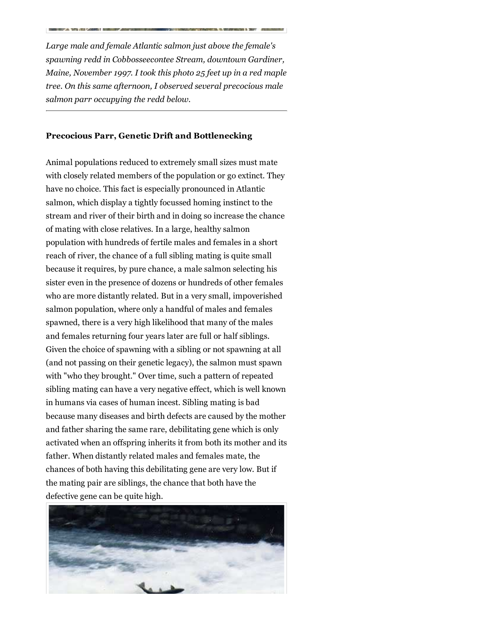*Large male and female Atlantic salmon just above the female's spawning redd in Cobbosseecontee Stream, downtown Gardiner, Maine, November 1997. I took this photo 25 feet up in a red maple tree. On this same afternoon, I observed several precocious male salmon parr occupying the redd below.*

#### **Precocious Parr, Genetic Drift and Bottlenecking**

Animal populations reduced to extremely small sizes must mate with closely related members of the population or go extinct. They have no choice. This fact is especially pronounced in Atlantic salmon, which display a tightly focussed homing instinct to the stream and river of their birth and in doing so increase the chance of mating with close relatives. In a large, healthy salmon population with hundreds of fertile males and females in a short reach of river, the chance of a full sibling mating is quite small because it requires, by pure chance, a male salmon selecting his sister even in the presence of dozens or hundreds of other females who are more distantly related. But in a very small, impoverished salmon population, where only a handful of males and females spawned, there is a very high likelihood that many of the males and females returning four years later are full or half siblings. Given the choice of spawning with a sibling or not spawning at all (and not passing on their genetic legacy), the salmon must spawn with "who they brought." Over time, such a pattern of repeated sibling mating can have a very negative effect, which is well known in humans via cases of human incest. Sibling mating is bad because many diseases and birth defects are caused by the mother and father sharing the same rare, debilitating gene which is only activated when an offspring inherits it from both its mother and its father. When distantly related males and females mate, the chances of both having this debilitating gene are very low. But if the mating pair are siblings, the chance that both have the defective gene can be quite high.

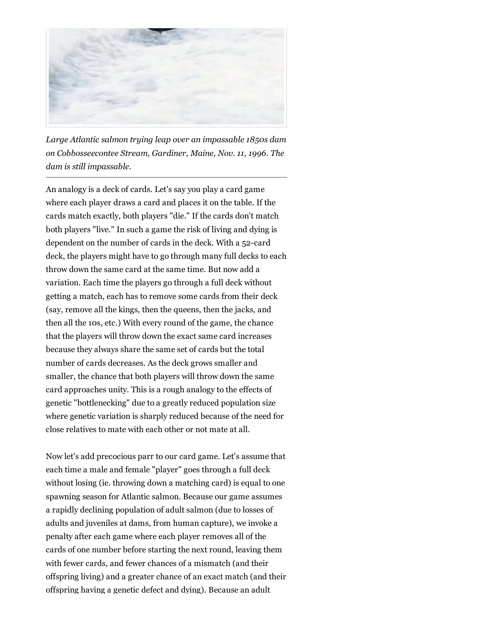

*Large Atlantic salmon trying leap over an impassable 1850s dam on Cobbosseecontee Stream, Gardiner, Maine, Nov. 11, 1996. The dam is still impassable.*

An analogy is a deck of cards. Let's say you play a card game where each player draws a card and places it on the table. If the cards match exactly, both players "die." If the cards don't match both players "live." In such a game the risk of living and dying is dependent on the number of cards in the deck. With a 52-card deck, the players might have to go through many full decks to each throw down the same card at the same time. But now add a variation. Each time the players go through a full deck without getting a match, each has to remove some cards from their deck (say, remove all the kings, then the queens, then the jacks, and then all the 10s, etc.) With every round of the game, the chance that the players will throw down the exact same card increases because they always share the same set of cards but the total number of cards decreases. As the deck grows smaller and smaller, the chance that both players will throw down the same card approaches unity. This is a rough analogy to the effects of genetic "bottlenecking" due to a greatly reduced population size where genetic variation is sharply reduced because of the need for close relatives to mate with each other or not mate at all.

Now let's add precocious parr to our card game. Let's assume that each time a male and female "player" goes through a full deck without losing (ie. throwing down a matching card) is equal to one spawning season for Atlantic salmon. Because our game assumes a rapidly declining population of adult salmon (due to losses of adults and juveniles at dams, from human capture), we invoke a penalty after each game where each player removes all of the cards of one number before starting the next round, leaving them with fewer cards, and fewer chances of a mismatch (and their offspring living) and a greater chance of an exact match (and their offspring having a genetic defect and dying). Because an adult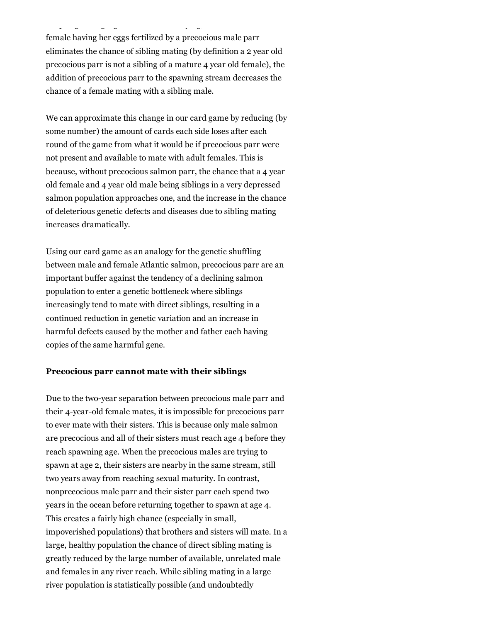female having her eggs fertilized by a precocious male parr eliminates the chance of sibling mating (by definition a 2 year old precocious parr is not a sibling of a mature 4 year old female), the addition of precocious parr to the spawning stream decreases the chance of a female mating with a sibling male.

offspring having a genetic defect and dying). Because an adult

We can approximate this change in our card game by reducing (by some number) the amount of cards each side loses after each round of the game from what it would be if precocious parr were not present and available to mate with adult females. This is because, without precocious salmon parr, the chance that a 4 year old female and 4 year old male being siblings in a very depressed salmon population approaches one, and the increase in the chance of deleterious genetic defects and diseases due to sibling mating increases dramatically.

Using our card game as an analogy for the genetic shuffling between male and female Atlantic salmon, precocious parr are an important buffer against the tendency of a declining salmon population to enter a genetic bottleneck where siblings increasingly tend to mate with direct siblings, resulting in a continued reduction in genetic variation and an increase in harmful defects caused by the mother and father each having copies of the same harmful gene.

#### **Precocious parr cannot mate with their siblings**

Due to the two-year separation between precocious male parr and their 4-year-old female mates, it is impossible for precocious parr to ever mate with their sisters. This is because only male salmon are precocious and all of their sisters must reach age 4 before they reach spawning age. When the precocious males are trying to spawn at age 2, their sisters are nearby in the same stream, still two years away from reaching sexual maturity. In contrast, nonprecocious male parr and their sister parr each spend two years in the ocean before returning together to spawn at age 4. This creates a fairly high chance (especially in small, impoverished populations) that brothers and sisters will mate. In a large, healthy population the chance of direct sibling mating is greatly reduced by the large number of available, unrelated male and females in any river reach. While sibling mating in a large river population is statistically possible (and undoubtedly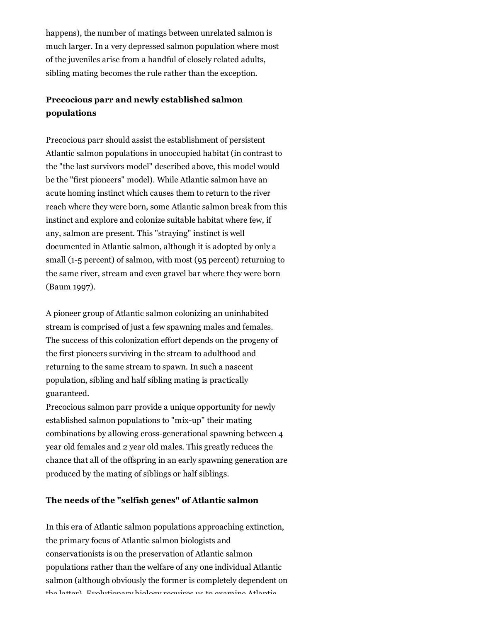happens), the number of matings between unrelated salmon is much larger. In a very depressed salmon population where most of the juveniles arise from a handful of closely related adults, sibling mating becomes the rule rather than the exception.

# **Precocious parr and newly established salmon populations**

Precocious parr should assist the establishment of persistent Atlantic salmon populations in unoccupied habitat (in contrast to the "the last survivors model" described above, this model would be the "first pioneers" model). While Atlantic salmon have an acute homing instinct which causes them to return to the river reach where they were born, some Atlantic salmon break from this instinct and explore and colonize suitable habitat where few, if any, salmon are present. This "straying" instinct is well documented in Atlantic salmon, although it is adopted by only a small (1-5 percent) of salmon, with most (95 percent) returning to the same river, stream and even gravel bar where they were born (Baum 1997).

A pioneer group of Atlantic salmon colonizing an uninhabited stream is comprised of just a few spawning males and females. The success of this colonization effort depends on the progeny of the first pioneers surviving in the stream to adulthood and returning to the same stream to spawn. In such a nascent population, sibling and half sibling mating is practically guaranteed.

Precocious salmon parr provide a unique opportunity for newly established salmon populations to "mix-up" their mating combinations by allowing cross-generational spawning between 4 year old females and 2 year old males. This greatly reduces the chance that all of the offspring in an early spawning generation are produced by the mating of siblings or half siblings.

#### **The needs of the "selfish genes" of Atlantic salmon**

In this era of Atlantic salmon populations approaching extinction, the primary focus of Atlantic salmon biologists and conservationists is on the preservation of Atlantic salmon populations rather than the welfare of any one individual Atlantic salmon (although obviously the former is completely dependent on the latter). Evolutionary biology requires us to examine Atlantic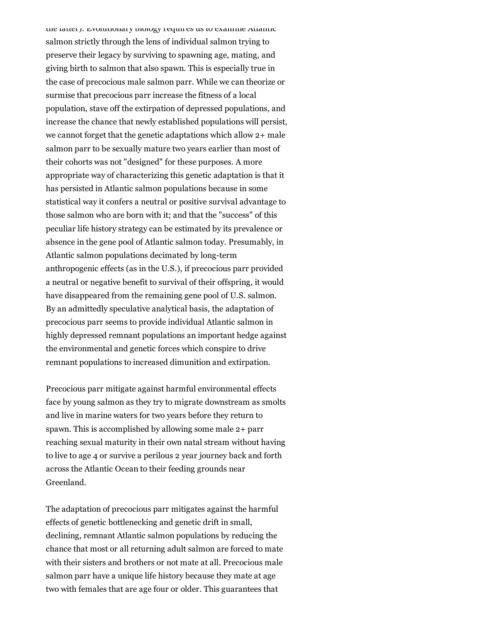the latter). Evolutionary biology requires us to examine Atlantic salmon strictly through the lens of individual salmon trying to preserve their legacy by surviving to spawning age, mating, and giving birth to salmon that also spawn. This is especially true in the case of precocious male salmon parr. While we can theorize or surmise that precocious parr increase the fitness of a local population, stave off the extirpation of depressed populations, and increase the chance that newly established populations will persist, we cannot forget that the genetic adaptations which allow 2+ male salmon parr to be sexually mature two years earlier than most of their cohorts was not "designed" for these purposes. A more appropriate way of characterizing this genetic adaptation is that it has persisted in Atlantic salmon populations because in some statistical way it confers a neutral or positive survival advantage to those salmon who are born with it; and that the "success" of this peculiar life history strategy can be estimated by its prevalence or absence in the gene pool of Atlantic salmon today. Presumably, in Atlantic salmon populations decimated by long-term anthropogenic effects (as in the U.S.), if precocious parr provided a neutral or negative benefit to survival of their offspring, it would have disappeared from the remaining gene pool of U.S. salmon. By an admittedly speculative analytical basis, the adaptation of precocious parr seems to provide individual Atlantic salmon in highly depressed remnant populations an important hedge against the environmental and genetic forces which conspire to drive remnant populations to increased dimunition and extirpation.

Precocious parr mitigate against harmful environmental effects face by young salmon as they try to migrate downstream as smolts and live in marine waters for two years before they return to spawn. This is accomplished by allowing some male 2+ parr reaching sexual maturity in their own natal stream without having to live to age 4 or survive a perilous 2 year journey back and forth across the Atlantic Ocean to their feeding grounds near Greenland.

The adaptation of precocious parr mitigates against the harmful effects of genetic bottlenecking and genetic drift in small, declining, remnant Atlantic salmon populations by reducing the chance that most or all returning adult salmon are forced to mate with their sisters and brothers or not mate at all. Precocious male salmon parr have a unique life history because they mate at age two with females that are age four or older. This guarantees that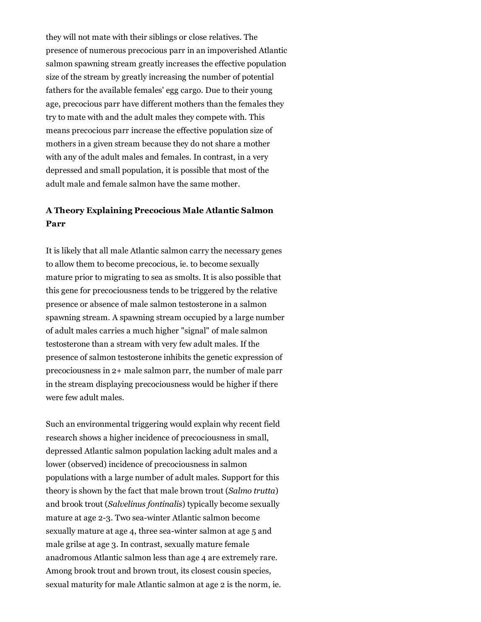they will not mate with their siblings or close relatives. The presence of numerous precocious parr in an impoverished Atlantic salmon spawning stream greatly increases the effective population size of the stream by greatly increasing the number of potential fathers for the available females' egg cargo. Due to their young age, precocious parr have different mothers than the females they try to mate with and the adult males they compete with. This means precocious parr increase the effective population size of mothers in a given stream because they do not share a mother with any of the adult males and females. In contrast, in a very depressed and small population, it is possible that most of the adult male and female salmon have the same mother.

## **A Theory Explaining Precocious Male Atlantic Salmon Parr**

It is likely that all male Atlantic salmon carry the necessary genes to allow them to become precocious, ie. to become sexually mature prior to migrating to sea as smolts. It is also possible that this gene for precociousness tends to be triggered by the relative presence or absence of male salmon testosterone in a salmon spawning stream. A spawning stream occupied by a large number of adult males carries a much higher "signal" of male salmon testosterone than a stream with very few adult males. If the presence of salmon testosterone inhibits the genetic expression of precociousness in 2+ male salmon parr, the number of male parr in the stream displaying precociousness would be higher if there were few adult males.

Such an environmental triggering would explain why recent field research shows a higher incidence of precociousness in small, depressed Atlantic salmon population lacking adult males and a lower (observed) incidence of precociousness in salmon populations with a large number of adult males. Support for this theory is shown by the fact that male brown trout (*Salmo trutta*) and brook trout (*Salvelinus fontinalis*) typically become sexually mature at age 2-3. Two sea-winter Atlantic salmon become sexually mature at age 4, three sea-winter salmon at age 5 and male grilse at age 3. In contrast, sexually mature female anadromous Atlantic salmon less than age 4 are extremely rare. Among brook trout and brown trout, its closest cousin species, sexual maturity for male Atlantic salmon at age 2 is the norm, ie.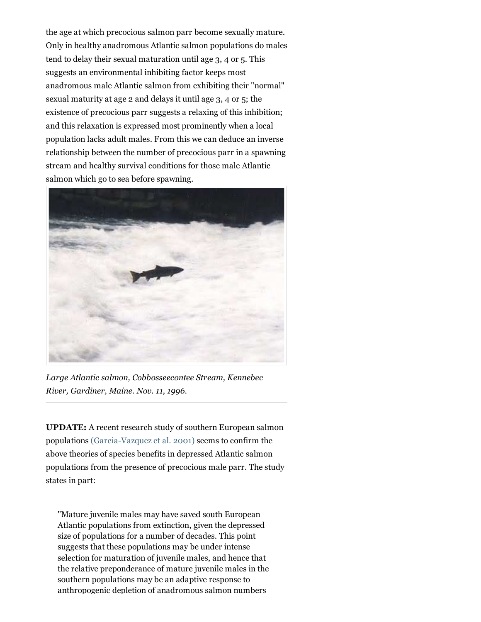the age at which precocious salmon parr become sexually mature. Only in healthy anadromous Atlantic salmon populations do males tend to delay their sexual maturation until age 3, 4 or 5. This suggests an environmental inhibiting factor keeps most anadromous male Atlantic salmon from exhibiting their "normal" sexual maturity at age 2 and delays it until age 3, 4 or 5; the existence of precocious parr suggests a relaxing of this inhibition; and this relaxation is expressed most prominently when a local population lacks adult males. From this we can deduce an inverse relationship between the number of precocious parr in a spawning stream and healthy survival conditions for those male Atlantic salmon which go to sea before spawning.



*Large Atlantic salmon, Cobbosseecontee Stream, Kennebec River, Gardiner, Maine. Nov. 11, 1996.*

**UPDATE:** A recent research study of southern European salmon populations (Garcia-Vazquez et al. 2001) seems to confirm the above theories of species benefits in depressed Atlantic salmon populations from the presence of precocious male parr. The study states in part:

"Mature juvenile males may have saved south European Atlantic populations from extinction, given the depressed size of populations for a number of decades. This point suggests that these populations may be under intense selection for maturation of juvenile males, and hence that the relative preponderance of mature juvenile males in the southern populations may be an adaptive response to anthropogenic depletion of anadromous salmon numbers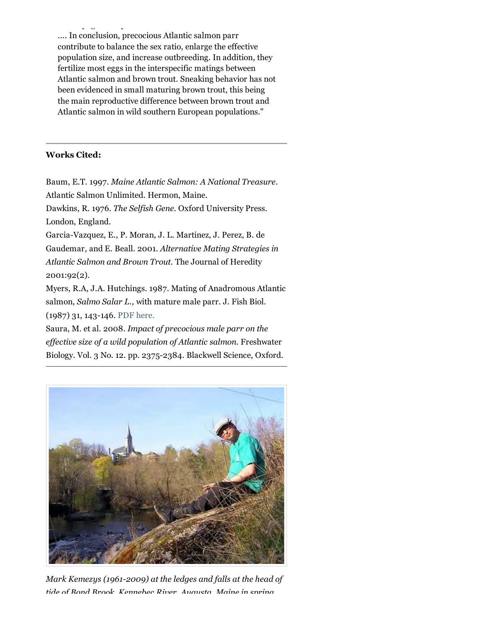anthropogenic dependent of an adressed of analysis salmon numbers  $\mathbf{a}$ .... In conclusion, precocious Atlantic salmon parr contribute to balance the sex ratio, enlarge the effective population size, and increase outbreeding. In addition, they fertilize most eggs in the interspecific matings between Atlantic salmon and brown trout. Sneaking behavior has not been evidenced in small maturing brown trout, this being the main reproductive difference between brown trout and Atlantic salmon in wild southern European populations."

#### **Works Cited:**

Baum, E.T. 1997. *Maine Atlantic Salmon: A National Treasure.*

Atlantic Salmon Unlimited. Hermon, Maine.

Dawkins, R. 1976. *The Selfish Gene.* Oxford University Press. London, England.

Garcia-Vazquez, E., P. Moran, J. L. Martinez, J. Perez, B. de Gaudemar, and E. Beall. 2001. *Alternative Mating Strategies in Atlantic Salmon and Brown Trout.* The Journal of Heredity 2001:92(2).

Myers, R.A, J.A. Hutchings. 1987. Mating of Anadromous Atlantic salmon, *Salmo Salar L.,* with mature male parr. J. Fish Biol. (1987) 31, 143-146. PDF here.

Saura, M. et al. 2008. *Impact of precocious male parr on the effective size of a wild population of Atlantic salmon.* Freshwater Biology. Vol. 3 No. 12. pp. 2375-2384. Blackwell Science, Oxford.



*Mark Kemezys (1961-2009) at the ledges and falls at the head of tide of Bond Brook, Kennebec River, Augusta, Maine in spring*